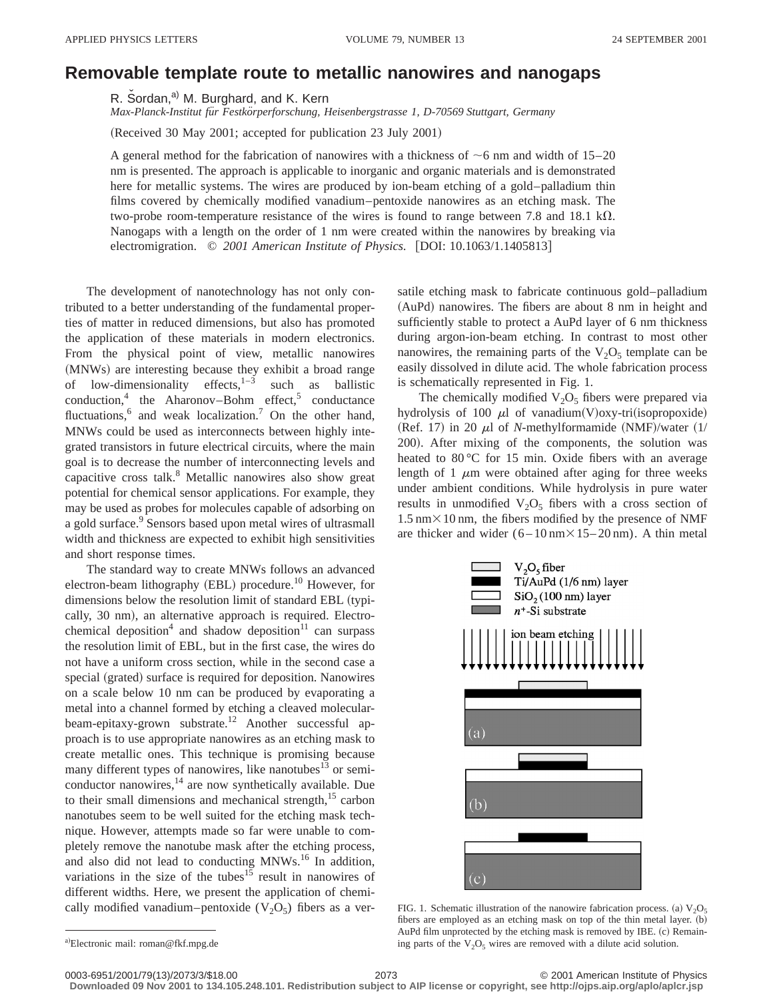## **Removable template route to metallic nanowires and nanogaps**

R. Sordan,<sup>a)</sup> M. Burghard, and K. Kern

*Max-Planck-Institut fu¨r Festko¨rperforschung, Heisenbergstrasse 1, D-70569 Stuttgart, Germany*

(Received 30 May 2001; accepted for publication 23 July 2001)

A general method for the fabrication of nanowires with a thickness of  $\sim$ 6 nm and width of 15–20 nm is presented. The approach is applicable to inorganic and organic materials and is demonstrated here for metallic systems. The wires are produced by ion-beam etching of a gold–palladium thin films covered by chemically modified vanadium–pentoxide nanowires as an etching mask. The two-probe room-temperature resistance of the wires is found to range between 7.8 and 18.1 k $\Omega$ . Nanogaps with a length on the order of 1 nm were created within the nanowires by breaking via electromigration.  $\odot$  2001 American Institute of Physics. [DOI: 10.1063/1.1405813]

The development of nanotechnology has not only contributed to a better understanding of the fundamental properties of matter in reduced dimensions, but also has promoted the application of these materials in modern electronics. From the physical point of view, metallic nanowires (MNWs) are interesting because they exhibit a broad range of low-dimensionality effects, $1-3$  such as ballistic conduction,<sup>4</sup> the Aharonov–Bohm effect,<sup>5</sup> conductance fluctuations, $6$  and weak localization.<sup>7</sup> On the other hand, MNWs could be used as interconnects between highly integrated transistors in future electrical circuits, where the main goal is to decrease the number of interconnecting levels and capacitive cross talk.8 Metallic nanowires also show great potential for chemical sensor applications. For example, they may be used as probes for molecules capable of adsorbing on a gold surface.<sup>9</sup> Sensors based upon metal wires of ultrasmall width and thickness are expected to exhibit high sensitivities and short response times.

The standard way to create MNWs follows an advanced electron-beam lithography  $(EBL)$  procedure.<sup>10</sup> However, for dimensions below the resolution limit of standard EBL (typically, 30 nm), an alternative approach is required. Electrochemical deposition<sup>4</sup> and shadow deposition<sup>11</sup> can surpass the resolution limit of EBL, but in the first case, the wires do not have a uniform cross section, while in the second case a special (grated) surface is required for deposition. Nanowires on a scale below 10 nm can be produced by evaporating a metal into a channel formed by etching a cleaved molecularbeam-epitaxy-grown substrate.<sup>12</sup> Another successful approach is to use appropriate nanowires as an etching mask to create metallic ones. This technique is promising because many different types of nanowires, like nanotubes<sup>13</sup> or semiconductor nanowires,<sup>14</sup> are now synthetically available. Due to their small dimensions and mechanical strength, $15$  carbon nanotubes seem to be well suited for the etching mask technique. However, attempts made so far were unable to completely remove the nanotube mask after the etching process, and also did not lead to conducting MNWs.16 In addition, variations in the size of the tubes<sup>15</sup> result in nanowires of different widths. Here, we present the application of chemically modified vanadium–pentoxide  $(V_2O_5)$  fibers as a versatile etching mask to fabricate continuous gold–palladium  $(AuPd)$  nanowires. The fibers are about 8 nm in height and sufficiently stable to protect a AuPd layer of 6 nm thickness during argon-ion-beam etching. In contrast to most other nanowires, the remaining parts of the  $V_2O_5$  template can be easily dissolved in dilute acid. The whole fabrication process is schematically represented in Fig. 1.

The chemically modified  $V_2O_5$  fibers were prepared via hydrolysis of 100  $\mu$ l of vanadium(V)oxy-tri(isopropoxide) (Ref. 17) in 20  $\mu$ l of *N*-methylformamide (NMF)/water (1/ 200). After mixing of the components, the solution was heated to 80 °C for 15 min. Oxide fibers with an average length of 1  $\mu$ m were obtained after aging for three weeks under ambient conditions. While hydrolysis in pure water results in unmodified  $V_2O_5$  fibers with a cross section of  $1.5 \text{ nm} \times 10 \text{ nm}$ , the fibers modified by the presence of NMF are thicker and wider  $(6 - 10 \text{ nm} \times 15 - 20 \text{ nm})$ . A thin metal



FIG. 1. Schematic illustration of the nanowire fabrication process. (a)  $V_2O_5$ fibers are employed as an etching mask on top of the thin metal layer.  $(b)$ AuPd film unprotected by the etching mask is removed by IBE. (c) Remaining parts of the  $V_2O_5$  wires are removed with a dilute acid solution.

**Downloaded 09 Nov 2001 to 134.105.248.101. Redistribution subject to AIP license or copyright, see http://ojps.aip.org/aplo/aplcr.jsp**

a)Electronic mail: roman@fkf.mpg.de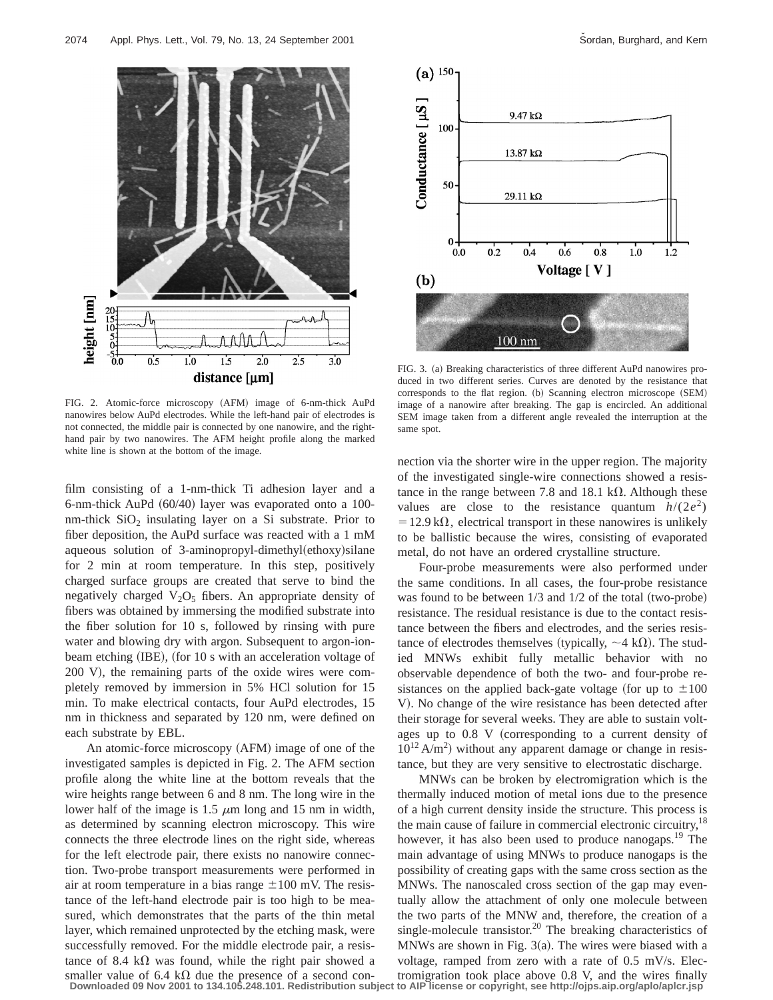

FIG. 2. Atomic-force microscopy (AFM) image of 6-nm-thick AuPd nanowires below AuPd electrodes. While the left-hand pair of electrodes is not connected, the middle pair is connected by one nanowire, and the righthand pair by two nanowires. The AFM height profile along the marked white line is shown at the bottom of the image.

film consisting of a 1-nm-thick Ti adhesion layer and a 6-nm-thick AuPd  $(60/40)$  layer was evaporated onto a 100nm-thick  $SiO<sub>2</sub>$  insulating layer on a Si substrate. Prior to fiber deposition, the AuPd surface was reacted with a 1 mM aqueous solution of 3-aminopropyl-dimethyl $(ethoxy)$ silane for 2 min at room temperature. In this step, positively charged surface groups are created that serve to bind the negatively charged  $V_2O_5$  fibers. An appropriate density of fibers was obtained by immersing the modified substrate into the fiber solution for 10 s, followed by rinsing with pure water and blowing dry with argon. Subsequent to argon-ionbeam etching (IBE), (for 10 s with an acceleration voltage of  $200$  V), the remaining parts of the oxide wires were completely removed by immersion in 5% HCl solution for 15 min. To make electrical contacts, four AuPd electrodes, 15 nm in thickness and separated by 120 nm, were defined on each substrate by EBL.

An atomic-force microscopy (AFM) image of one of the investigated samples is depicted in Fig. 2. The AFM section profile along the white line at the bottom reveals that the wire heights range between 6 and 8 nm. The long wire in the lower half of the image is 1.5  $\mu$ m long and 15 nm in width, as determined by scanning electron microscopy. This wire connects the three electrode lines on the right side, whereas for the left electrode pair, there exists no nanowire connection. Two-probe transport measurements were performed in air at room temperature in a bias range  $\pm 100$  mV. The resistance of the left-hand electrode pair is too high to be measured, which demonstrates that the parts of the thin metal layer, which remained unprotected by the etching mask, were successfully removed. For the middle electrode pair, a resistance of 8.4 k $\Omega$  was found, while the right pair showed a smaller value of 6.4 k $\Omega$  due the presence of a second con-**Downloaded 09 Nov 2001 to 134.105.248.101. Redistribution subject to AIP license or copyright, see http://ojps.aip.org/aplo/aplcr.jsp**



FIG. 3. (a) Breaking characteristics of three different AuPd nanowires produced in two different series. Curves are denoted by the resistance that corresponds to the flat region. (b) Scanning electron microscope (SEM) image of a nanowire after breaking. The gap is encircled. An additional SEM image taken from a different angle revealed the interruption at the same spot.

nection via the shorter wire in the upper region. The majority of the investigated single-wire connections showed a resistance in the range between 7.8 and 18.1 k $\Omega$ . Although these values are close to the resistance quantum  $h/(2e^2)$  $=12.9 \text{ k}\Omega$ , electrical transport in these nanowires is unlikely to be ballistic because the wires, consisting of evaporated metal, do not have an ordered crystalline structure.

Four-probe measurements were also performed under the same conditions. In all cases, the four-probe resistance was found to be between  $1/3$  and  $1/2$  of the total (two-probe) resistance. The residual resistance is due to the contact resistance between the fibers and electrodes, and the series resistance of electrodes themselves (typically,  $\sim$ 4 k $\Omega$ ). The studied MNWs exhibit fully metallic behavior with no observable dependence of both the two- and four-probe resistances on the applied back-gate voltage (for up to  $\pm 100$ ) V). No change of the wire resistance has been detected after their storage for several weeks. They are able to sustain voltages up to  $0.8$  V (corresponding to a current density of  $10^{12}$  A/m<sup>2</sup>) without any apparent damage or change in resistance, but they are very sensitive to electrostatic discharge.

MNWs can be broken by electromigration which is the thermally induced motion of metal ions due to the presence of a high current density inside the structure. This process is the main cause of failure in commercial electronic circuitry,<sup>18</sup> however, it has also been used to produce nanogaps.<sup>19</sup> The main advantage of using MNWs to produce nanogaps is the possibility of creating gaps with the same cross section as the MNWs. The nanoscaled cross section of the gap may eventually allow the attachment of only one molecule between the two parts of the MNW and, therefore, the creation of a single-molecule transistor.<sup>20</sup> The breaking characteristics of MNWs are shown in Fig.  $3(a)$ . The wires were biased with a voltage, ramped from zero with a rate of 0.5 mV/s. Electromigration took place above 0.8 V, and the wires finally